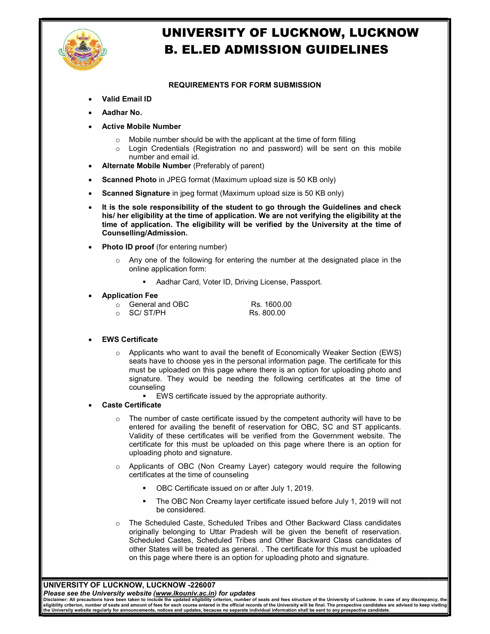

# UNIVERSITY OF LUCKNOW, LUCKNOW B. EL.ED ADMISSION GUIDELINES

### REQUIREMENTS FOR FORM SUBMISSION

- Valid Email ID
- Aadhar No.
- Active Mobile Number
	- $\circ$  Mobile number should be with the applicant at the time of form filling
	- o Login Credentials (Registration no and password) will be sent on this mobile number and email id.
- Alternate Mobile Number (Preferably of parent)
- Scanned Photo in JPEG format (Maximum upload size is 50 KB only)
- Scanned Signature in jpeg format (Maximum upload size is 50 KB only)
- It is the sole responsibility of the student to go through the Guidelines and check his/ her eligibility at the time of application. We are not verifying the eligibility at the time of application. The eligibility will be verified by the University at the time of Counselling/Admission.
- Photo ID proof (for entering number)
	- o Any one of the following for entering the number at the designated place in the online application form:
		- **Aadhar Card, Voter ID, Driving License, Passport.**

#### Application Fee

 $\circ$  General and OBC Rs. 1600.00<br> $\circ$  SC/ ST/PH Rs. 800.00 o SC/ ST/PH

#### EWS Certificate

- $\circ$  Applicants who want to avail the benefit of Economically Weaker Section (EWS) seats have to choose yes in the personal information page. The certificate for this must be uploaded on this page where there is an option for uploading photo and signature. They would be needing the following certificates at the time of counseling
	- EWS certificate issued by the appropriate authority.

#### Caste Certificate

- $\circ$  The number of caste certificate issued by the competent authority will have to be entered for availing the benefit of reservation for OBC, SC and ST applicants. Validity of these certificates will be verified from the Government website. The certificate for this must be uploaded on this page where there is an option for uploading photo and signature.
- o Applicants of OBC (Non Creamy Layer) category would require the following certificates at the time of counseling
	- OBC Certificate issued on or after July 1, 2019.
	- The OBC Non Creamy layer certificate issued before July 1, 2019 will not be considered.
- o The Scheduled Caste, Scheduled Tribes and Other Backward Class candidates originally belonging to Uttar Pradesh will be given the benefit of reservation. Scheduled Castes, Scheduled Tribes and Other Backward Class candidates of other States will be treated as general. . The certificate for this must be uploaded on this page where there is an option for uploading photo and signature.

### UNIVERSITY OF LUCKNOW, LUCKNOW -226007

Please see the University website (www.lkouniv.ac.in) for updates

Disclaimer: All precautions have been taken to include the updated eligibility criterion, number of seats and fees structure of the University of Lucknow. In case of any discrepancy, the<br>eligibility criterion, number of se the University website regularly for announcements, notices and updates, because no separate individual information shall be sent to any prospective candidate.